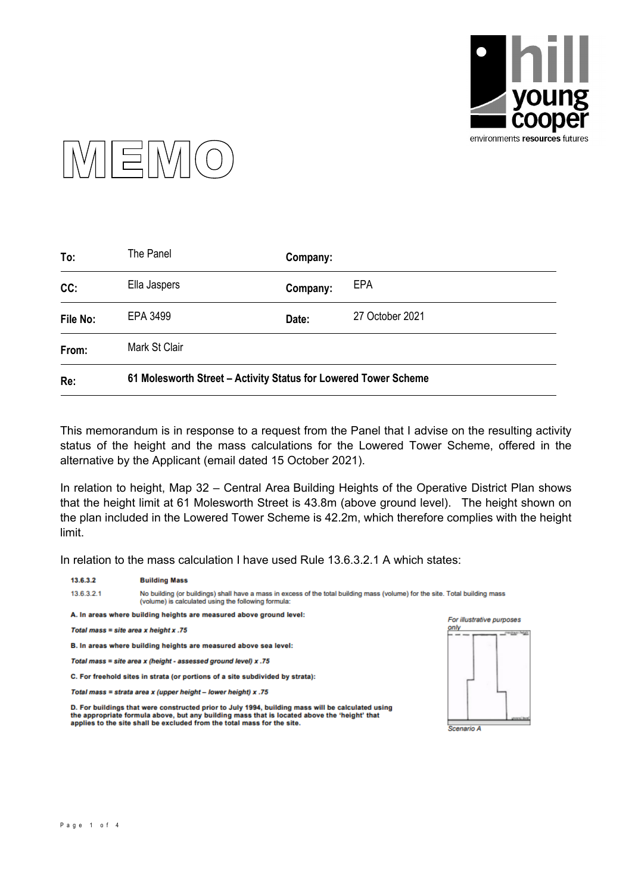



| Re:      | 61 Molesworth Street - Activity Status for Lowered Tower Scheme |          |                 |  |
|----------|-----------------------------------------------------------------|----------|-----------------|--|
| From:    | Mark St Clair                                                   |          |                 |  |
| File No: | EPA 3499                                                        | Date:    | 27 October 2021 |  |
| CC:      | Ella Jaspers                                                    | Company: | <b>EPA</b>      |  |
| To:      | The Panel                                                       | Company: |                 |  |

This memorandum is in response to a request from the Panel that I advise on the resulting activity status of the height and the mass calculations for the Lowered Tower Scheme, offered in the alternative by the Applicant (email dated 15 October 2021).

In relation to height, Map 32 – Central Area Building Heights of the Operative District Plan shows that the height limit at 61 Molesworth Street is 43.8m (above ground level). The height shown on the plan included in the Lowered Tower Scheme is 42.2m, which therefore complies with the height limit.

In relation to the mass calculation I have used Rule 13.6.3.2.1 A which states:

| 13.6.3.2                                                                      | <b>Building Mass</b>                                                                                                                                                                                                                                                         |                                |
|-------------------------------------------------------------------------------|------------------------------------------------------------------------------------------------------------------------------------------------------------------------------------------------------------------------------------------------------------------------------|--------------------------------|
| 13.6.3.2.1                                                                    | No building (or buildings) shall have a mass in excess of the total building mass (volume) for the site. Total building mass<br>(volume) is calculated using the following formula:                                                                                          |                                |
|                                                                               | A. In areas where building heights are measured above ground level:                                                                                                                                                                                                          | For illustrative purposes      |
| Total mass = site area x height x .75                                         |                                                                                                                                                                                                                                                                              | only<br>maninger beight<br>--- |
| B. In areas where building heights are measured above sea level:              |                                                                                                                                                                                                                                                                              |                                |
| Total mass = site area x (height - assessed ground level) x .75               |                                                                                                                                                                                                                                                                              |                                |
| C. For freehold sites in strata (or portions of a site subdivided by strata): |                                                                                                                                                                                                                                                                              |                                |
|                                                                               | Total mass = strata area x (upper height - lower height) x .75                                                                                                                                                                                                               |                                |
|                                                                               | D. For buildings that were constructed prior to July 1994, building mass will be calculated using<br>the appropriate formula above, but any building mass that is located above the 'height' that<br>applies to the site shall be excluded from the total mass for the site. | Scenario A                     |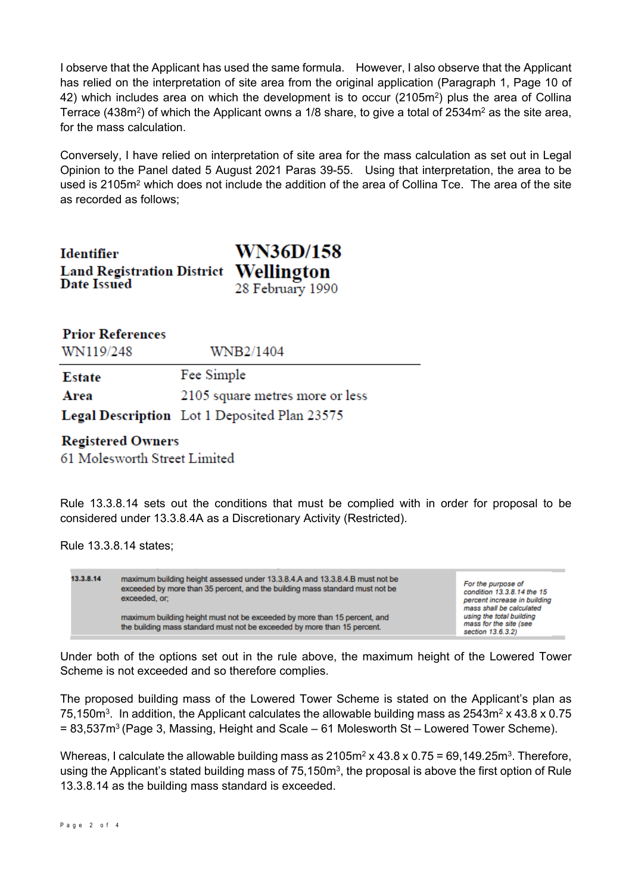I observe that the Applicant has used the same formula. However, I also observe that the Applicant has relied on the interpretation of site area from the original application (Paragraph 1, Page 10 of 42) which includes area on which the development is to occur (2105m<sup>2</sup>) plus the area of Collina Terrace (438m²) of which the Applicant owns a 1/8 share, to give a total of 2534m² as the site area, for the mass calculation.

Conversely, I have relied on interpretation of site area for the mass calculation as set out in Legal Opinion to the Panel dated 5 August 2021 Paras 39-55. Using that interpretation, the area to be used is 2105m<sup>2</sup> which does not include the addition of the area of Collina Tce. The area of the site as recorded as follows;

| Identifier                            | <b>WN36D/158</b> |
|---------------------------------------|------------------|
| Land Registration District Wellington |                  |
| Date Issued                           | 28 February 1990 |

| <b>Prior References</b> |  |
|-------------------------|--|
|-------------------------|--|

WN119/248

WNB2/1404

Fee Simple **Estate** 2105 square metres more or less Area

Legal Description Lot 1 Deposited Plan 23575

## **Registered Owners**

61 Molesworth Street Limited

Rule 13.3.8.14 sets out the conditions that must be complied with in order for proposal to be considered under 13.3.8.4A as a Discretionary Activity (Restricted).

Rule 13.3.8.14 states;



Under both of the options set out in the rule above, the maximum height of the Lowered Tower Scheme is not exceeded and so therefore complies.

The proposed building mass of the Lowered Tower Scheme is stated on the Applicant's plan as 75,150m $^3$ . In addition, the Applicant calculates the allowable building mass as 2543m $^2$  x 43.8 x 0.75 = 83,537m<sup>3</sup> (Page 3, Massing, Height and Scale – 61 Molesworth St – Lowered Tower Scheme).

Whereas, I calculate the allowable building mass as 2105m $^2$  x 43.8 x 0.75 = 69,149.25m $^3$ . Therefore, using the Applicant's stated building mass of 75,150m $^{\rm 3}$ , the proposal is above the first option of Rule 13.3.8.14 as the building mass standard is exceeded.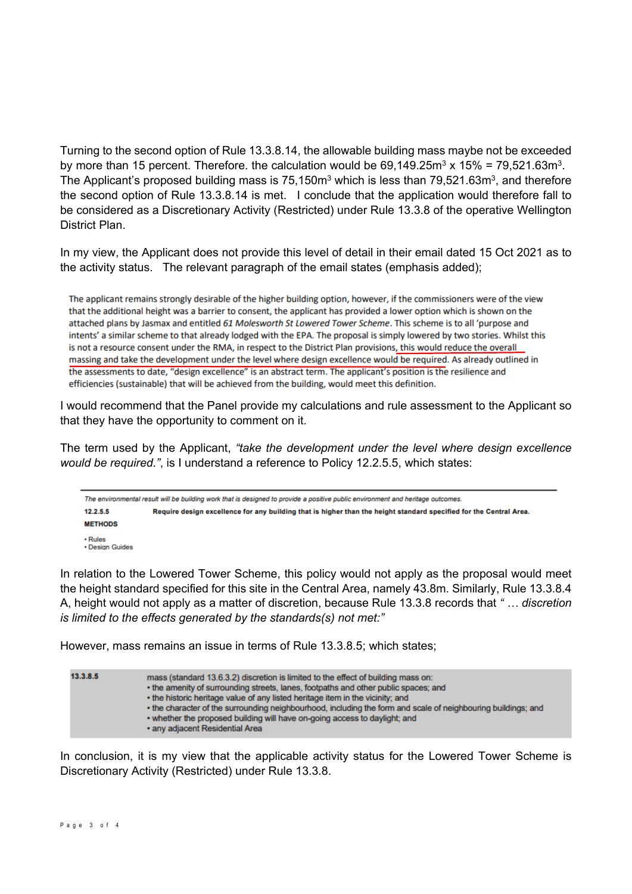Turning to the second option of Rule 13.3.8.14, the allowable building mass maybe not be exceeded by more than 15 percent. Therefore. the calculation would be 69,149.25m<sup>3</sup> x 15% = 79,521.63m<sup>3</sup>. The Applicant's proposed building mass is 75,150m $^{\rm 3}$  which is less than 79,521.63m $^{\rm 3}$ , and therefore the second option of Rule 13.3.8.14 is met. I conclude that the application would therefore fall to be considered as a Discretionary Activity (Restricted) under Rule 13.3.8 of the operative Wellington District Plan.

In my view, the Applicant does not provide this level of detail in their email dated 15 Oct 2021 as to the activity status. The relevant paragraph of the email states (emphasis added);

The applicant remains strongly desirable of the higher building option, however, if the commissioners were of the view that the additional height was a barrier to consent, the applicant has provided a lower option which is shown on the attached plans by Jasmax and entitled 61 Molesworth St Lowered Tower Scheme. This scheme is to all 'purpose and intents' a similar scheme to that already lodged with the EPA. The proposal is simply lowered by two stories. Whilst this is not a resource consent under the RMA, in respect to the District Plan provisions, this would reduce the overall massing and take the development under the level where design excellence would be required. As already outlined in the assessments to date, "design excellence" is an abstract term. The applicant's position is the resilience and efficiencies (sustainable) that will be achieved from the building, would meet this definition.

I would recommend that the Panel provide my calculations and rule assessment to the Applicant so that they have the opportunity to comment on it.

The term used by the Applicant, *"take the development under the level where design excellence would be required."*, is I understand a reference to Policy 12.2.5.5, which states:

The environmental result will be building work that is designed to provide a positive public environment and heritage outcomes. 12255 Require design excellence for any building that is higher than the height standard specified for the Central Area. **METHODS**  $\cdot$  Rules · Design Guides

In relation to the Lowered Tower Scheme, this policy would not apply as the proposal would meet the height standard specified for this site in the Central Area, namely 43.8m. Similarly, Rule 13.3.8.4 A, height would not apply as a matter of discretion, because Rule 13.3.8 records that *" … discretion is limited to the effects generated by the standards(s) not met:"*

However, mass remains an issue in terms of Rule 13.3.8.5; which states;

| 13.3.8.5 | mass (standard 13.6.3.2) discretion is limited to the effect of building mass on:<br>• the amenity of surrounding streets, lanes, footpaths and other public spaces; and<br>• the historic heritage value of any listed heritage item in the vicinity; and<br>• the character of the surrounding neighbourhood, including the form and scale of neighbouring buildings; and<br>. whether the proposed building will have on-going access to daylight; and<br>. any adjacent Residential Area |
|----------|----------------------------------------------------------------------------------------------------------------------------------------------------------------------------------------------------------------------------------------------------------------------------------------------------------------------------------------------------------------------------------------------------------------------------------------------------------------------------------------------|
|          |                                                                                                                                                                                                                                                                                                                                                                                                                                                                                              |

In conclusion, it is my view that the applicable activity status for the Lowered Tower Scheme is Discretionary Activity (Restricted) under Rule 13.3.8.